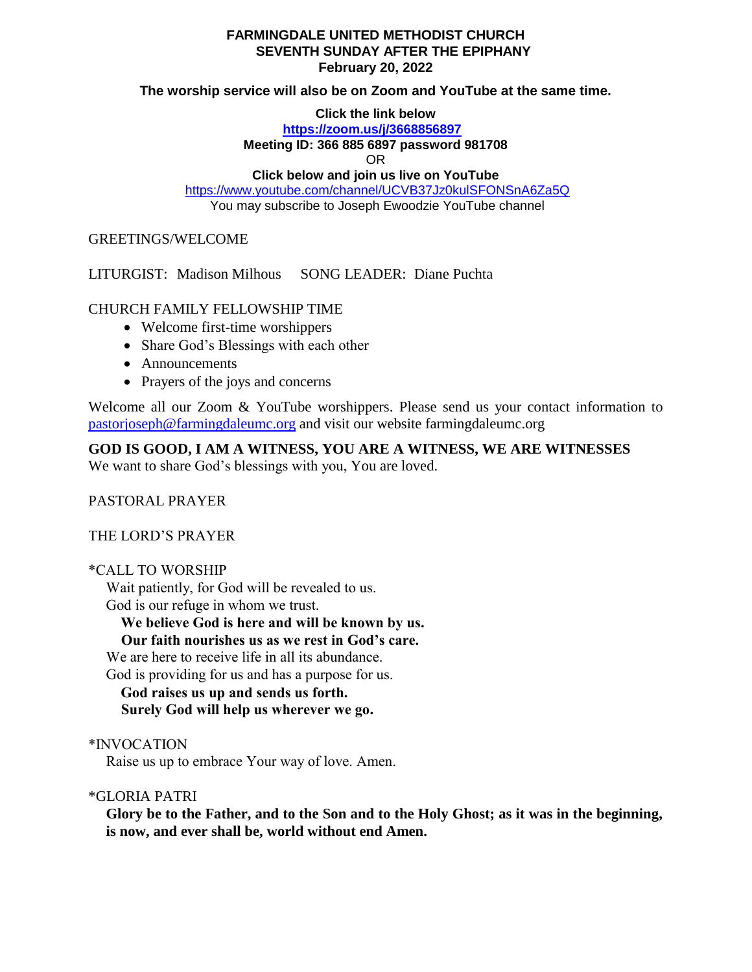#### **FARMINGDALE UNITED METHODIST CHURCH SEVENTH SUNDAY AFTER THE EPIPHANY February 20, 2022**

#### **The worship service will also be on Zoom and YouTube at the same time.**

**Click the link below**

**<https://zoom.us/j/3668856897>**

**Meeting ID: 366 885 6897 password 981708**

OR

**Click below and join us live on YouTube** 

<https://www.youtube.com/channel/UCVB37Jz0kulSFONSnA6Za5Q> You may subscribe to Joseph Ewoodzie YouTube channel

# GREETINGS/WELCOME

LITURGIST: Madison Milhous SONG LEADER: Diane Puchta

# CHURCH FAMILY FELLOWSHIP TIME

- Welcome first-time worshippers
- Share God's Blessings with each other
- Announcements
- Prayers of the joys and concerns

Welcome all our Zoom & YouTube worshippers. Please send us your contact information to [pastorjoseph@farmingdaleumc.org](mailto:pastorjoseph@farmingdaleumc.org) and visit our website farmingdaleumc.org

**GOD IS GOOD, I AM A WITNESS, YOU ARE A WITNESS, WE ARE WITNESSES**

We want to share God's blessings with you, You are loved.

PASTORAL PRAYER

THE LORD'S PRAYER

# \*CALL TO WORSHIP

Wait patiently, for God will be revealed to us. God is our refuge in whom we trust.

**We believe God is here and will be known by us.**

 **Our faith nourishes us as we rest in God's care.**

We are here to receive life in all its abundance.

God is providing for us and has a purpose for us.

 **God raises us up and sends us forth. Surely God will help us wherever we go.**

\*INVOCATION

Raise us up to embrace Your way of love. Amen.

\*GLORIA PATRI

**Glory be to the Father, and to the Son and to the Holy Ghost; as it was in the beginning, is now, and ever shall be, world without end Amen.**